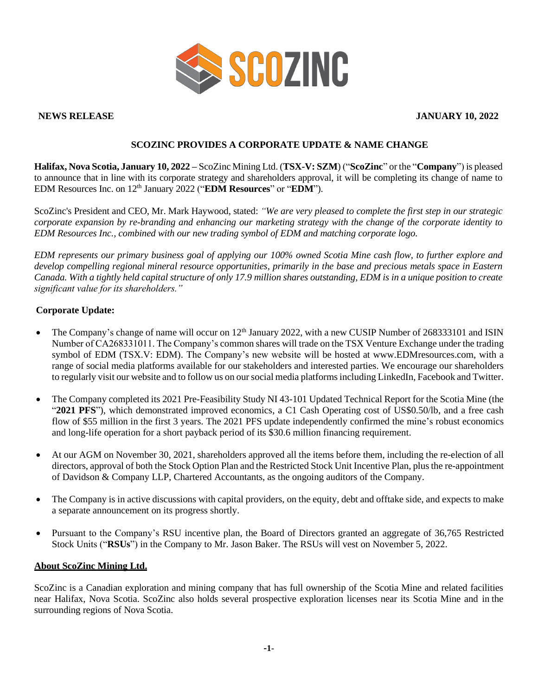

**NEWS RELEASE JANUARY 10, 2022**

# **SCOZINC PROVIDES A CORPORATE UPDATE & NAME CHANGE**

**Halifax, Nova Scotia, January 10, 2022 –** ScoZinc Mining Ltd. (**TSX-V: SZM**) ("**ScoZinc**" or the "**Company**") is pleased to announce that in line with its corporate strategy and shareholders approval, it will be completing its change of name to EDM Resources Inc. on 12<sup>th</sup> January 2022 ("**EDM Resources**" or "**EDM**").

ScoZinc's President and CEO, Mr. Mark Haywood, stated: *"We are very pleased to complete the first step in our strategic corporate expansion by re-branding and enhancing our marketing strategy with the change of the corporate identity to EDM Resources Inc., combined with our new trading symbol of EDM and matching corporate logo.*

*EDM represents our primary business goal of applying our 100% owned Scotia Mine cash flow, to further explore and develop compelling regional mineral resource opportunities, primarily in the base and precious metals space in Eastern Canada. With a tightly held capital structure of only 17.9 million shares outstanding, EDM is in a unique position to create significant value for its shareholders."*

# **Corporate Update:**

- The Company's change of name will occur on 12<sup>th</sup> January 2022, with a new CUSIP Number of 268333101 and ISIN Number of CA268331011. The Company's common shares will trade on the TSX Venture Exchange under the trading symbol of EDM (TSX.V: EDM). The Company's new website will be hosted at www.EDMresources.com, with a range of social media platforms available for our stakeholders and interested parties. We encourage our shareholders to regularly visit our website and to follow us on our social media platforms including LinkedIn, Facebook and Twitter.
- The Company completed its 2021 Pre-Feasibility Study NI 43-101 Updated Technical Report for the Scotia Mine (the "**2021 PFS**"), which demonstrated improved economics, a C1 Cash Operating cost of US\$0.50/lb, and a free cash flow of \$55 million in the first 3 years. The 2021 PFS update independently confirmed the mine's robust economics and long-life operation for a short payback period of its \$30.6 million financing requirement.
- At our AGM on November 30, 2021, shareholders approved all the items before them, including the re-election of all directors, approval of both the Stock Option Plan and the Restricted Stock Unit Incentive Plan, plus the re-appointment of Davidson & Company LLP, Chartered Accountants, as the ongoing auditors of the Company.
- The Company is in active discussions with capital providers, on the equity, debt and offtake side, and expects to make a separate announcement on its progress shortly.
- Pursuant to the Company's RSU incentive plan, the Board of Directors granted an aggregate of 36,765 Restricted Stock Units ("**RSUs**") in the Company to Mr. Jason Baker. The RSUs will vest on November 5, 2022.

## **About ScoZinc Mining Ltd.**

ScoZinc is a Canadian exploration and mining company that has full ownership of the Scotia Mine and related facilities near Halifax, Nova Scotia. ScoZinc also holds several prospective exploration licenses near its Scotia Mine and in the surrounding regions of Nova Scotia.